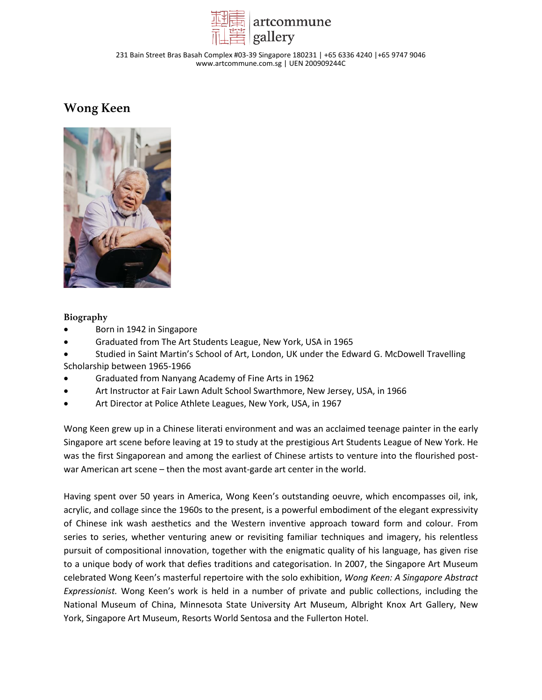

231 Bain Street Bras Basah Complex #03-39 Singapore 180231 | +65 6336 4240 |+65 9747 9046 www.artcommune.com.sg | UEN 200909244C

# **Wong Keen**



### **Biography**

- Born in 1942 in Singapore
- Graduated from The Art Students League, New York, USA in 1965
- Studied in Saint Martin's School of Art, London, UK under the Edward G. McDowell Travelling Scholarship between 1965-1966
- Graduated from Nanyang Academy of Fine Arts in 1962
- Art Instructor at Fair Lawn Adult School Swarthmore, New Jersey, USA, in 1966
- Art Director at Police Athlete Leagues, New York, USA, in 1967

Wong Keen grew up in a Chinese literati environment and was an acclaimed teenage painter in the early Singapore art scene before leaving at 19 to study at the prestigious Art Students League of New York. He was the first Singaporean and among the earliest of Chinese artists to venture into the flourished postwar American art scene – then the most avant-garde art center in the world.

Having spent over 50 years in America, Wong Keen's outstanding oeuvre, which encompasses oil, ink, acrylic, and collage since the 1960s to the present, is a powerful embodiment of the elegant expressivity of Chinese ink wash aesthetics and the Western inventive approach toward form and colour. From series to series, whether venturing anew or revisiting familiar techniques and imagery, his relentless pursuit of compositional innovation, together with the enigmatic quality of his language, has given rise to a unique body of work that defies traditions and categorisation. In 2007, the Singapore Art Museum celebrated Wong Keen's masterful repertoire with the solo exhibition, *Wong Keen: A Singapore Abstract Expressionist.* Wong Keen's work is held in a number of private and public collections, including the National Museum of China, Minnesota State University Art Museum, Albright Knox Art Gallery, New York, Singapore Art Museum, Resorts World Sentosa and the Fullerton Hotel.